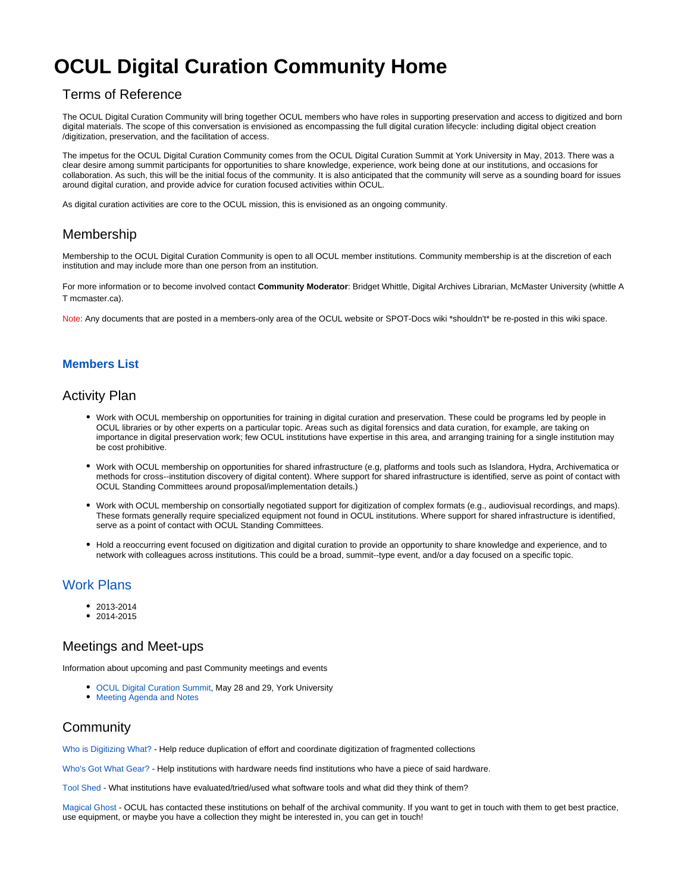# **OCUL Digital Curation Community Home**

## Terms of Reference

The OCUL Digital Curation Community will bring together OCUL members who have roles in supporting preservation and access to digitized and born digital materials. The scope of this conversation is envisioned as encompassing the full digital curation lifecycle: including digital object creation /digitization, preservation, and the facilitation of access.

The impetus for the OCUL Digital Curation Community comes from the OCUL Digital Curation Summit at York University in May, 2013. There was a clear desire among summit participants for opportunities to share knowledge, experience, work being done at our institutions, and occasions for collaboration. As such, this will be the initial focus of the community. It is also anticipated that the community will serve as a sounding board for issues around digital curation, and provide advice for curation focused activities within OCUL.

As digital curation activities are core to the OCUL mission, this is envisioned as an ongoing community.

### Membership

Membership to the OCUL Digital Curation Community is open to all OCUL member institutions. Community membership is at the discretion of each institution and may include more than one person from an institution.

For more information or to become involved contact **Community Moderator**: Bridget Whittle, Digital Archives Librarian, McMaster University (whittle A T mcmaster.ca).

Note: Any documents that are posted in a members-only area of the OCUL website or SPOT-Docs wiki \*shouldn't\* be re-posted in this wiki space.

#### **[Members List](https://spotdocs.scholarsportal.info/display/ODCC/Member+List)**

### Activity Plan

- Work with OCUL membership on opportunities for training in digital curation and preservation. These could be programs led by people in OCUL libraries or by other experts on a particular topic. Areas such as digital forensics and data curation, for example, are taking on importance in digital preservation work; few OCUL institutions have expertise in this area, and arranging training for a single institution may be cost prohibitive.
- Work with OCUL membership on opportunities for shared infrastructure (e.g, platforms and tools such as Islandora, Hydra, Archivematica or methods for cross--institution discovery of digital content). Where support for shared infrastructure is identified, serve as point of contact with OCUL Standing Committees around proposal/implementation details.)
- Work with OCUL membership on consortially negotiated support for digitization of complex formats (e.g., audiovisual recordings, and maps). These formats generally require specialized equipment not found in OCUL institutions. Where support for shared infrastructure is identified, serve as a point of contact with OCUL Standing Committees.
- Hold a reoccurring event focused on digitization and digital curation to provide an opportunity to share knowledge and experience, and to network with colleagues across institutions. This could be a broad, summit--type event, and/or a day focused on a specific topic.

## [Work Plans](https://spotdocs.scholarsportal.info/display/ODCC/Work+Plans)

- $2013 2014$
- 2014-2015

#### Meetings and Meet-ups

Information about upcoming and past Community meetings and events

- [OCUL Digital Curation Summit](https://spotdocs.scholarsportal.info/pages/viewpage.action?pageId=132775972), May 28 and 29, York University
- [Meeting Agenda and Notes](https://spotdocs.scholarsportal.info/display/ODCC/Meeting+Notes)

#### **Community**

[Who is Digitizing What?](https://spotdocs.scholarsportal.info/pages/viewpage.action?pageId=147161142) - Help reduce duplication of effort and coordinate digitization of fragmented collections

[Who's Got What Gear?](https://spotdocs.scholarsportal.info/pages/viewpage.action?pageId=143556870) - Help institutions with hardware needs find institutions who have a piece of said hardware.

[Tool Shed](https://spotdocs.scholarsportal.info/display/ODCC/Tool+Shed) - What institutions have evaluated/tried/used what software tools and what did they think of them?

[Magical Ghost](https://spotdocs.scholarsportal.info/display/ODCC/Magical+Ghost) - OCUL has contacted these institutions on behalf of the archival community. If you want to get in touch with them to get best practice, use equipment, or maybe you have a collection they might be interested in, you can get in touch!